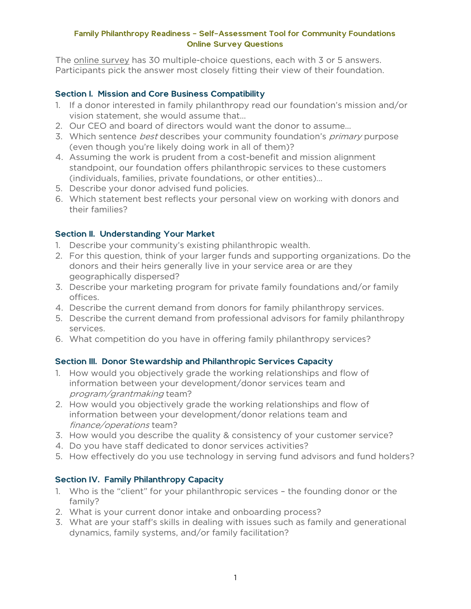#### Family Philanthropy Readiness - Self-Assessment Tool for Community Foundations Online Survey Questions

The [online survey](https://www.ncfp.org/resource/cfi-self-assessment/) has 30 multiple-choice questions, each with 3 or 5 answers. Participants pick the answer most closely fitting their view of their foundation.

#### Section I. Mission and Core Business Compatibility

- 1. If a donor interested in family philanthropy read our foundation's mission and/or vision statement, she would assume that…
- 2. Our CEO and board of directors would want the donor to assume…
- 3. Which sentence *best* describes your community foundation's *primary* purpose (even though you're likely doing work in all of them)?
- 4. Assuming the work is prudent from a cost-benefit and mission alignment standpoint, our foundation offers philanthropic services to these customers (individuals, families, private foundations, or other entities)…
- 5. Describe your donor advised fund policies.
- 6. Which statement best reflects your personal view on working with donors and their families?

# Section II. Understanding Your Market

- 1. Describe your community's existing philanthropic wealth.
- 2. For this question, think of your larger funds and supporting organizations. Do the donors and their heirs generally live in your service area or are they geographically dispersed?
- 3. Describe your marketing program for private family foundations and/or family offices.
- 4. Describe the current demand from donors for family philanthropy services.
- 5. Describe the current demand from professional advisors for family philanthropy services.
- 6. What competition do you have in offering family philanthropy services?

# Section III. Donor Stewardship and Philanthropic Services Capacity

- 1. How would you objectively grade the working relationships and flow of information between your development/donor services team and program/grantmaking team?
- 2. How would you objectively grade the working relationships and flow of information between your development/donor relations team and finance/operations team?
- 3. How would you describe the quality & consistency of your customer service?
- 4. Do you have staff dedicated to donor services activities?
- 5. How effectively do you use technology in serving fund advisors and fund holders?

# Section IV. Family Philanthropy Capacity

- 1. Who is the "client" for your philanthropic services the founding donor or the family?
- 2. What is your current donor intake and onboarding process?
- 3. What are your staff's skills in dealing with issues such as family and generational dynamics, family systems, and/or family facilitation?